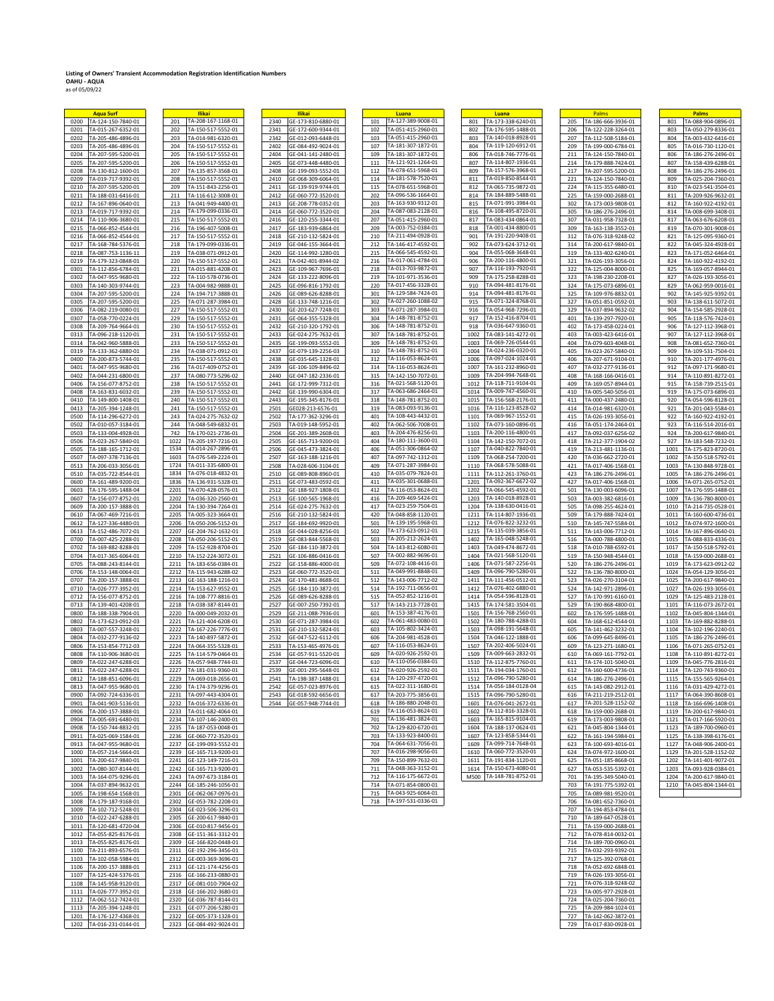## **Listing of Owners' Transient Accommodation Registration Identification Numbers OAHU - AQUA** as of 05/09/22

 $\overline{\phantom{a}}$ 

|      | <b>Aqua Surf</b>        | Ilikai                     | <b>Ilikai</b>              | Luana                     | Luana                                            | Palms                     |      | Palms              |
|------|-------------------------|----------------------------|----------------------------|---------------------------|--------------------------------------------------|---------------------------|------|--------------------|
| 0200 | TA-124-150-7840-01      | TA-208-167-1168-01<br>201  | 2340<br>GE-173-810-6880-01 | TA-127-389-9008-01<br>101 | TA-173-338-6240-01<br>801                        | 205<br>TA-186-666-3936-01 | 801  | TA-088-904-0896-0  |
| 0201 | TA-015-267-6352-01      | 202<br>TA-150-517-5552-01  | 2341<br>GE-172-600-9344-01 | TA-051-415-2960-01<br>102 | 802<br>TA-176-595-1488-01                        | 206<br>TA-122-228-3264-01 | 803  | TA-050-279-8336-0  |
|      |                         |                            |                            | TA-051-415-2960-01        | TA-140-018-8928-01                               | 207                       |      |                    |
| 0202 | TA-205-486-4896-01      | 203<br>TA-014-981-6320-01  | 2342<br>GE-012-093-6448-01 | 103                       | 803                                              | TA-112-508-5184-01        | 804  | TA-003-432-6416-0  |
| 0203 | TA-205-486-4896-01      | 204<br>TA-150-517-5552-01  | 2402<br>GE-084-492-9024-01 | TA-181-307-1872-01<br>107 | TA-119-120-6912-01<br>804                        | 209<br>TA-199-000-6784-01 | 805  | TA-016-730-1120-0  |
| 0204 | TA-207-595-5200-01      | 205<br>TA-150-517-5552-01  | 2404<br>GE-041-141-2480-01 | 109<br>TA-181-307-1872-01 | TA-018-746-7776-01<br>806                        | 211<br>TA-124-150-7840-01 | 806  | TA-186-276-2496-0  |
| 0205 | TA-207-595-5200-01      | TA-150-517-5552-01<br>206  | 2405<br>GE-073-448-4480-01 | TA-121-921-1264-01<br>111 | TA-114-807-1936-01<br>807                        | TA-179-888-7424-01<br>214 | 807  | TA-158-439-6288-0  |
| 0208 | TA-130-812-1600-01      | 207<br>TA-135-857-3568-01  | 2408<br>GE-199-093-5552-01 | TA-078-651-5968-01<br>112 | TA-157-576-3968-01<br>809                        | 217<br>TA-207-595-5200-01 | 808  | TA-186-276-2496-0  |
| 0209 | TA-019-717-9392-01      | TA-150-517-5552-01<br>208  | GE-068-309-6064-01<br>2410 | TA-181-578-7520-01<br>114 | TA-019-850-8544-01<br>811                        | 221<br>TA-124-150-7840-01 | 809  | TA-025-204-7360-0  |
|      | TA-207-595-5200-01      | TA-151-843-2256-01<br>209  | 2411<br>GE-139-919-9744-01 | TA-078-651-5968-01        | TA-065-735-9872-01                               | TA-115-355-6480-01<br>224 | 810  | TA-023-541-3504-0  |
| 0210 |                         |                            |                            | 115                       | 812                                              |                           |      |                    |
| 0211 | TA-188-031-6416-01      | 211<br>TA-116-612-3008-01  | 2412<br>GE-060-772-3520-01 | TA-096-536-1664-01<br>202 | TA-184-889-5488-01<br>814                        | 225<br>TA-159-000-2688-01 | 811  | TA-209-926-9632-0  |
| 0212 | TA-167-896-0640-01      | TA-041-949-4400-01<br>213  | 2413<br>GE-208-778-0352-01 | TA-163-930-9312-01<br>203 | TA-071-991-3984-01<br>815                        | 302<br>TA-173-003-9808-01 | 812  | TA-160-922-4192-0  |
| 0213 | TA-019-717-9392-01      | TA-179-099-0336-01<br>214  | 2414<br>GE-060-772-3520-01 | TA-087-083-2128-01<br>204 | TA-108-495-8720-01<br>816                        | 305<br>TA-186-276-2496-01 | 814  | TA-008-699-3408-0  |
| 0214 | TA-110-906-3680-01      | 215<br>TA-150-517-5552-01  | 2416<br>GE-120-255-3344-01 | TA-051-415-2960-01<br>207 | TA-083-434-0864-01<br>817                        | 307<br>TA-031-958-7328-01 | 817  | TA-063-676-6208-0  |
| 0215 | TA-066-852-4544-01      | 216<br>TA-196-407-5008-01  | 2417<br>GE-183-939-6864-01 | TA-003-752-0384-01<br>209 | TA-001-434-8800-01<br>818                        | 309<br>TA-163-138-3552-01 | 819  | TA-070-301-9008-0  |
| 0216 | TA-066-852-4544-01      | 217<br>TA-150-517-5552-01  | 2418<br>GE-210-132-5824-01 | TA-211-494-0928-01<br>210 | TA-191-220-9408-01<br>901                        | 312<br>TA-076-318-9248-02 | 821  | TA-125-095-9360-0  |
|      |                         |                            |                            |                           |                                                  |                           |      |                    |
| 0217 | TA-168-784-5376-01      | 218<br>TA-179-099-0336-01  | 2419<br>GE-046-155-3664-01 | TA-146-417-4592-01<br>212 | 902<br>TA-073-624-3712-01                        | 314<br>TA-200-617-9840-01 | 822  | TA-045-324-4928-0  |
| 0218 | TA-087-753-1136-11      | TA-038-071-0912-01<br>219  | 2420<br>GE-114-992-1280-01 | TA-066-545-4592-01<br>215 | TA-055-068-3648-01<br>904                        | TA-133-402-6240-01<br>319 | 823  | TA-171-052-6464-0  |
| 0219 | TA-179-323-0848-01      | 220<br>TA-150-517-5552-01  | 2421<br>TA-042-401-8944-02 | TA-017-061-4784-01<br>216 | TA-200-116-4800-01<br>906                        | TA-026-193-3056-01<br>321 | 824  | TA-160-922-4192-0  |
| 0301 | TA-112-856-6784-01      | 221<br>TA-015-881-4208-01  | 2423<br>GE-109-967-7696-01 | TA-013-703-9872-01<br>218 | TA-116-193-7920-01<br>907                        | 322<br>TA-125-004-8000-01 | 825  | TA-169-057-8944-0  |
| 0302 | TA-047-955-9680-01      | 222<br>TA-110-578-0736-01  | GE-133-222-8096-01<br>2424 | TA-101-971-3536-01<br>219 | TA-175-258-8288-01<br>909                        | 323<br>TA-198-230-2208-01 | 827  | TA-026-193-3056-0  |
| 0303 | TA-140-303-9744-01      | 223<br>TA-004-982-9888-01  | 2425<br>GE-096-816-1792-01 | TA-017-456-3328-01<br>220 | TA-094-481-8176-01<br>910                        | 324<br>TA-175-073-6896-01 | 829  | TA-062-959-0016-0  |
|      |                         | 224                        |                            | TA-129-584-7424-01        | TA-094-481-8176-01<br>914                        |                           | 902  |                    |
| 0304 | TA-207-595-5200-01      | TA-194-717-3888-01         | 2426<br>GE-089-626-8288-01 | 301                       |                                                  | 325<br>TA-109-976-8832-01 |      | TA-145-925-9392-0  |
| 0305 | TA-207-595-5200-01      | 225<br>TA-071-287-3984-01  | 2428<br>GE-133-748-1216-01 | TA-027-260-1088-02<br>302 | 915<br>TA-071-324-8768-01                        | 327<br>TA-051-851-0592-01 | 903  | TA-138-611-5072-0  |
| 0306 | TA-082-219-0080-01      | 227<br>TA-150-517-5552-01  | 2430<br>GE-203-627-7248-01 | TA-071-287-3984-01<br>303 | TA-054-968-7296-01<br>916                        | 329<br>TA-037-894-9632-02 | 904  | TA-154-585-2928-0  |
| 0307 | TA-058-770-0224-01      | 229<br>TA-150-517-5552-01  | 2431<br>GE-064-355-5328-01 | TA-148-781-8752-01<br>304 | TA-152-416-8704-01<br>917                        | 401<br>TA-139-297-7920-01 | 905  | TA-118-576-7424-0  |
| 0308 | TA-209-764-9664-01      | 230<br>TA-150-517-5552-01  | GE-210-320-1792-01<br>2432 | TA-148-781-8752-01<br>306 | TA-036-647-9360-01<br>918                        | 402<br>TA-173-458-0224-01 | 906  | TA-127-112-3968-0  |
| 0313 | TA-096-218-1120-01      | 231<br>TA-150-517-5552-01  | 2433<br>GE-024-275-7632-01 | TA-148-781-8752-01<br>307 | TA-083-141-4272-01<br>1002                       | 403<br>TA-003-423-6416-01 | 907  | TA-127-112-3968-0  |
|      |                         |                            |                            | TA-148-781-8752-01<br>309 | TA-069-726-0544-01<br>1003                       | 404<br>TA-079-603-4048-01 | 908  |                    |
| 0314 | TA-042-960-5888-01      | 233<br>TA-150-517-5552-01  | 2435<br>GE-199-093-5552-01 |                           |                                                  |                           |      | TA-081-652-7360-0  |
| 0319 | TA-133-362-6880-01      | TA-038-071-0912-01<br>234  | GE-079-139-2256-03<br>2437 | TA-148-781-8752-01<br>310 | 1004<br>TA-024-236-0320-01                       | TA-023-267-5840-01<br>405 | 909  | TA-109-531-7504-0  |
| 0400 | TA-200-873-5744-01      | 235<br>TA-150-517-5552-01  | 2438<br>GE-035-645-1328-01 | TA-116-053-8624-01<br>312 | TA-097-024-1024-01<br>1006                       | 406<br>TA-207-671-9104-01 | 910  | TA-201-177-4976-0  |
| 0401 | TA-047-955-9680-01      | TA-017-409-0752-01<br>236  | GE-106-109-8496-02<br>2439 | TA-116-053-8624-01<br>314 | TA-161-232-8960-01<br>1007                       | TA-032-277-9136-01<br>407 | 912  | TA-097-171-9680-0  |
| 0402 | TA-044-231-6800-01      | 237<br>TA-080-773-5296-02  | 2440<br>GE-047-182-2336-01 | TA-142-150-7072-01<br>315 | TA-204-994-7648-01<br>1009                       | 408<br>TA-168-166-0416-01 | 914  | TA-110-891-8272-0  |
| 0406 | TA-156-077-8752-01      | 238<br>TA-150-517-5552-01  | 2441<br>GE-172-999-7312-01 | TA-021-568-5120-01<br>316 | TA-118-711-9104-01<br>1012                       | 409<br>TA-169-057-8944-01 | 915  | TA-158-739-2515-0  |
|      |                         | 239                        |                            | TA-063-686-2464-01        | TA-009-747-4560-01<br>1014                       |                           | 919  |                    |
| 0408 | TA-163-831-6032-01      | TA-150-517-5552-01         | 2442<br>GE-139-990-6304-01 | 317<br>TA-148-781-8752-01 |                                                  | 410<br>TA-005-540-5056-01 |      | TA-175-073-6896-0  |
| 0410 | TA-149-800-1408-01      | 240<br>TA-150-517-5552-01  | 2443<br>GE-195-345-8176-01 | 318                       | TA-156-568-2176-01<br>1015                       | 411<br>TA-000-437-2480-01 | 920  | TA-054-596-8128-0  |
| 0413 | TA-205-394-1248-01      | 241<br>TA-150-517-5552-01  | 2501<br>GE028-213-6576-01  | TA-083-093-9136-01<br>319 | TA-116-123-8528-02<br>1016                       | 414<br>TA-014-981-6320-01 | 921  | TA-201-043-5584-0  |
| 0500 | TA-114-296-6272-01      | 243<br>TA-024-275-7632-02  | 2502<br>TA-177-362-3296-01 | TA-108-443-4432-01<br>401 | TA-069-967-1552-01<br>1101                       | 415<br>TA-026-193-3056-01 | 922  | TA-160-922-4192-0  |
| 0502 | TA-010-057-3184-01      | 244<br>TA-048-549-6832-01  | 2503<br>TA-019-148-5952-01 | TA-062-506-7008-01<br>402 | TA-073-160-0896-01<br>1102                       | 416<br>TA-051-174-2464-01 | 923  | TA-116-514-2016-0  |
| 0503 | TA-133-004-4928-01      | 742<br>TA-170-021-2736-01  | 2504<br>GE-201-389-2608-01 | TA-204-476-8256-01<br>403 | TA-200-116-4800-01<br>1103                       | 417<br>TA-092-037-6256-02 | 924  | TA-200-617-9840-01 |
| 0506 | TA-023-267-5840-01      | 1022<br>TA-205-197-7216-01 | GE-165-713-9200-01<br>2505 | TA-180-111-3600-01<br>404 | TA-142-150-7072-01<br>1104                       | 418<br>TA-212-377-1904-02 | 927  | TA-183-548-7232-0  |
| 0505 | TA-188-165-1712-01      | 1534<br>FA-014-267-2896-01 | 2506<br>GE-045-473-3824-01 | TA-051-306-0864-02<br>406 | TA-040-822-7840-01<br>1107                       | 419<br>TA-213-481-1136-01 | 1001 | TA-175-823-8720-0  |
|      |                         | 1603<br>TA-076-549-2224-01 | 2507                       | TA-097-742-1312-01<br>407 | 1109<br>TA-068-254-7200-01                       | 420<br>TA-036-662-2720-01 | 1002 |                    |
| 0507 | TA-097-378-7136-01      |                            | GE-163-188-1216-01         |                           |                                                  |                           |      | TA-150-518-5792-0  |
| 0513 | TA-206-033-3056-01      | 1724<br>TA-011-335-6800-01 | 2508<br>TA-028-606-3104-01 | TA-071-287-3984-01<br>409 | TA-068-578-5088-01<br>1110                       | 421<br>TA-017-406-1568-01 | 1003 | TA-130-848-9728-0  |
| 0510 | TA-035-722-8544-01      | 1834<br>TA-076-018-4832-01 | 2510<br>GE-089-808-8960-01 | TA-035-079-7824-01<br>410 | TA-112-261-3760-01<br>1111                       | 423<br>TA-186-276-2496-01 | 1005 | TA-186-276-2496-0  |
| 0600 | TA-161-489-9200-01      | TA-136-931-5328-01<br>1836 | GE-073-483-0592-01<br>2511 | TA-035-301-0688-01<br>411 | TA-092-367-6672-02<br>1201                       | TA-017-406-1568-01<br>427 | 1006 | TA-071-265-0752-0  |
| 0603 | TA-176-595-1488-04      | 2201<br>TA-070-428-0576-01 | 2512<br>GE-188-927-1808-01 | TA-116-053-8624-01<br>412 | TA-066-545-4592-01<br>1202                       | 501<br>TA-130-003-6096-01 | 1007 | TA-176-595-1488-0  |
| 0607 | TA-156-077-8752-01      | 2202<br>TA-036-320-2560-01 | 2513<br>GE-100-565-1968-01 | TA-209-469-5424-01<br>416 | TA-140-018-8928-01<br>1203                       | 503<br>TA-003-382-6816-01 | 1009 | TA-136-780-8000-0  |
| 0609 | TA-200-157-3888-01      | TA-130-394-7264-01<br>2204 | 2514<br>GE-024-275-7632-01 | TA-023-259-7504-01<br>417 | 1204<br>TA-138-630-0416-01                       | TA-098-255-4624-01<br>505 | 1010 | TA-214-735-0528-0  |
| 0610 | TA-067-469-7216-01      | 2205<br>TA-005-323-3664-01 | 2516<br>GE-210-132-5824-01 | TA-048-858-1120-01<br>420 | TA-114-807-1936-01<br>1211                       | 509<br>TA-179-888-7424-01 | 1011 | TA-160-600-4736-0  |
| 0612 | TA-127-336-4480-01      | 2206<br>TA-050-206-5152-01 | GE-184-692-9920-01<br>2517 | TA-139-195-5968-01<br>501 | TA-076-822-3232-01<br>1212                       | 510<br>TA-145-747-5584-01 | 1012 | TA-074-972-1600-0  |
|      |                         |                            |                            |                           |                                                  |                           |      |                    |
| 0613 | TA-152-486-7072-01      | 2207<br>GE-204-762-1632-01 | 2518<br>GE-044-028-8256-01 | TA-173-623-0912-01<br>502 | TA-135-039-3856-01<br>1215                       | 511<br>TA-143-006-7712-01 | 1014 | TA-167-896-0640-0  |
| 0700 | TA-007-425-2288-01      | 2208<br>TA-050-206-5152-01 | 2519<br>GE-083-844-5568-01 | 503<br>TA-205-212-2624-01 | 1402<br>TA-165-048-5248-01                       | 516<br>TA-000-788-4800-01 | 1015 | TA-088-833-4336-0  |
| 0702 | TA-169-882-8288-01      | 2209<br>TA-152-928-8704-01 | 2520<br>GE-184-110-3872-01 | TA-143-812-6080-01<br>504 | TA-049-474-8672-01<br>1403                       | 518<br>TA-010-788-6592-01 | 1017 | TA-150-518-5792-0  |
| 0704 | TA-017-365-6064-01      | 2210<br>TA-152-224-3072-01 | 2521<br>GE-106-886-0416-01 | TA-002-882-9696-01<br>507 | 1404<br>TA-021-568-5120-01                       | TA-150-948-4544-01<br>519 | 1018 | TA-159-000-2688-0  |
| 0705 | TA-088-243-8144-01      | 2211<br>TA-183-656-0384-01 | 2522<br>GE-158-886-4000-01 | TA-072-108-4416-01<br>509 | TA-071-587-2256-01<br>1406                       | 520<br>TA-186-276-2496-01 | 1019 | TA-173-623-0912-0. |
| 0706 | TA-153-148-0064-01      | TA-115-943-6288-02<br>2212 | 2523<br>GE-060-772-3520-01 | TA-049-991-8848-01<br>511 | TA-096-790-5280-01<br>1409                       | 522<br>TA-136-780-8000-01 | 1024 | TA-054-129-3056-0  |
|      |                         |                            |                            | TA-143-006-7712-02        | TA-111-456-0512-01                               |                           |      |                    |
| 0707 | TA-200-157-3888-01      | GE-163-188-1216-01<br>2213 | 2524<br>GE-170-481-8688-01 | 512                       | 1411                                             | TA-026-270-3104-01<br>523 | 1025 | TA-200-617-9840-0  |
| 0710 | TA-026-777-3952-01      | 2214<br>TA-153-627-9552-01 | 2525<br>GE-184-110-3872-01 | TA-192-711-0656-01<br>514 | TA-076-402-6880-01<br>1412                       | 524<br>TA-142-971-2896-01 | 1027 | TA-026-193-3056-0  |
| 0712 | TA-156-077-8752-01      | 2216<br>TA-108-777-8816-01 | 2526<br>GE-089-626-8288-01 | TA-052-852-1216-01<br>515 | TA-054-596-8128-01<br>1414                       | 527<br>TA-170-991-6160-01 | 1029 | TA-125-483-2128-0  |
| 0713 | TA-139-401-4208-01      | TA-038-387-8144-01<br>2218 | GE-007-250-7392-01<br>2527 | TA-143-213-7728-01<br>517 | 1415<br>TA-174-581-3504-01                       | TA-190-868-4800-01<br>529 | 1101 | TA-116-073-2672-0  |
| 0800 | TA-188-338-7904-01      | 2220<br>TA-000-049-2032-01 | 2529<br>GE-211-088-7936-01 | TA-153-387-4176-01<br>601 | TA-156-768-2560-01<br>1501                       | 602<br>TA-176-595-1488-01 | 1102 | TA-045-804-1344-0  |
| 0802 | TA-173-623-0912-03      | 2221<br>TA-121-404-6208-01 | 2530<br>GE-071-287-3984-01 | TA-061-483-0080-01<br>602 | TA-180-788-4288-01<br>1502                       | TA-168-612-4544-01<br>604 | 1103 | TA-169-882-8288-0  |
| 0803 | TA-007-557-3248-01      | 2222<br>TA-167-226-7776-01 | 2531<br>GE-210-132-5824-01 | TA-105-802-3424-01<br>603 | TA-098-191-5648-01<br>1503                       | TA-141-462-3232-01<br>605 | 1104 | TA-102-196-2240-0  |
|      |                         |                            |                            | TA-204-981-4528-01        |                                                  |                           |      |                    |
| 0804 | TA-032-277-9136-02      | 2223<br>TA-140-897-5872-01 | 2532<br>GE-047-522-6112-01 | 606                       | TA-046-122-1888-01<br>1504<br>TA-202-406-5024-01 | 606<br>TA-099-645-8496-01 | 1105 | TA-186-276-2496-0  |
| 0806 | TA-153-854-7712-03      | 2224<br>TA-064-355-5328-01 | 2533<br>TA-153-465-4976-01 | TA-116-053-8624-01<br>607 | 1507                                             | TA-123-271-1680-01<br>609 | 1106 | TA-071-265-0752-0  |
| 0808 | TA-110-906-3680-01      | 2225<br>TA-114-579-0464-01 | 2534<br>GE-057-911-5520-01 | TA-020-926-2592-01<br>609 | TA-009-663-2832-01<br>1509                       | 610<br>TA-069-161-7792-01 | 1108 | TA-110-891-8272-0  |
| 0809 | TA-022-247-6288-01      | 2226<br>TA-057-948-7744-01 | 2537<br>GE-044-723-6096-01 | TA-110-056-0384-01<br>610 | TA-112-875-7760-01<br>1510                       | 611<br>TA-174-101-5040-01 | 1109 | TA-045-776-2816-0  |
| 0811 | TA-022-247-6288-01      | 2227<br>TA-181-031-9360-01 | GE-001-295-5648-01<br>2539 | TA-020-926-2592-01<br>612 | 1511 74-194-034-1760-01                          | 612<br>TA-160-600-4736-01 | 1114 | TA-120-743-9360-01 |
| 0812 | TA-188-851-6096-01      | TA-069-018-2656-01<br>2229 | TA-198-387-1488-01<br>2541 | TA-120-297-4720-01<br>614 | TA-096-790-5280-01<br>1512                       | TA-186-276-2496-01<br>614 | 1115 | TA-155-565-9264-0  |
|      | 0813 TA-047-955-9680-01 | TA-174-379-9296-01<br>2230 | GE-057-023-8976-01<br>2542 | TA-022-311-1680-01<br>615 | TA-056-184-0128-04<br>1514                       | TA-143-082-2912-01<br>615 | 1116 | TA-031-429-4272-0  |
| 0900 | TA-092-724-6336-01      | 2231<br>TA-097-443-4304-01 | 2543<br>GE-018-592-6656-01 | TA-203-775-3856-01<br>617 | TA-096-790-5280-01<br>1515                       | TA-211-219-2512-01<br>616 | 1117 | TA-064-390-8608-01 |
|      |                         |                            |                            | TA-186-880-2048-01        |                                                  |                           |      |                    |
| 0901 | TA-041-903-5136-01      | 2232<br>TA-016-372-6336-01 | 2544<br>GE-057-948-7744-01 | 618                       | TA-076-041-2672-01<br>1601                       | 617<br>TA-201-528-1152-02 | 1118 | TA-166-696-1408-0  |
| 0906 | TA-200-157-3888-01      | TA-011-682-4064-01<br>2233 |                            | TA-116-053-8624-01<br>619 | TA-112-816-3328-01<br>1602                       | TA-159-000-2688-01<br>618 | 1119 | TA-200-617-9840-0  |
| 0904 | TA-005-691-6480-01      | 2234<br>TA-107-146-2400-01 |                            | TA-136-481-3824-01<br>701 | TA-165-815-9104-01<br>1603                       | TA-173-003-9808-01<br>619 | 1121 | TA-017-166-5920-0  |
| 0908 | TA-150-744-8832-01      | 2235<br>TA-187-053-0048-01 |                            | TA-129-820-6720-01<br>702 | TA-188-137-0624-01<br>1604                       | TA-045-804-1344-01<br>621 | 1123 | TA-189-700-0960-0  |
| 0911 | TA-025-069-1584-01      | 2236<br>GE-060-772-3520-01 |                            | TA-133-923-8400-01<br>703 | TA-123-858-5344-01<br>1607                       | TA-161-194-5984-01<br>622 | 1125 | TA-138-398-6176-0  |
| 0913 | TA-047-955-9680-01      | 2237<br>GE-199-093-5552-01 |                            | TA-064-631-7056-01<br>704 | TA-099-714-7648-01<br>1609                       | 623<br>TA-100-693-4016-01 | 1127 | TA-048-906-2400-0  |
|      | 1000 TA-057-214-5664-01 | 2239<br>GE-165-713-9200-01 |                            | 707<br>TA-016-298-9056-01 | TA-060-772-3520-01<br>1610                       | 624<br>TA-074-972-1600-01 | 1129 | TA-201-528-1152-0. |
|      |                         |                            |                            |                           | TA-191-834-1120-01                               |                           |      |                    |
| 1001 | TA-200-617-9840-01      | 2241<br>GE-123-149-7216-01 |                            | 709<br>TA-150-899-7632-01 | 1611                                             | TA-051-185-8668-01<br>625 | 1202 | TA-141-401-9072-0  |
|      | 1002 TA-080-307-8144-01 | GE-165-713-9200-01<br>2242 |                            | TA-048-363-3152-01<br>711 | TA-150-673-4080-01<br>1614                       | TA-053-535-5392-01<br>627 | 1203 | TA-093-928-0384-0  |
| 1003 | TA-164-075-9296-01      | 2243<br>TA-097-673-3184-01 |                            | TA-116-175-6672-01<br>712 | M500 TA-148-781-8752-01                          | 701<br>TA-195-349-5040-01 | 1204 | TA-200-617-9840-0  |
| 1004 | TA-037-894-9632-01      | GE-185-246-1056-01<br>2244 |                            | 714<br>TA-071-854-0800-01 |                                                  | TA-191-775-5392-01<br>703 | 1210 | TA-045-804-1344-0  |
| 1005 | TA-198-654-1568-01      | 2301<br>GE-062-067-0976-01 |                            | TA-043-925-6064-01<br>715 |                                                  | 705<br>TA-089-981-9520-01 |      |                    |
| 1008 | TA-179-187-9168-01      | 2302<br>GE-053-782-2208-01 |                            | TA-197-531-0336-01<br>718 |                                                  | 706<br>TA-081-652-7360-01 |      |                    |
| 1009 | TA-102-712-5248-01      | GE-023-506-3296-01<br>2304 |                            |                           |                                                  | TA-194-853-4784-01<br>707 |      |                    |
|      | 1010 TA-022-247-6288-01 | 2305<br>GE-200-617-9840-01 |                            |                           |                                                  | 710<br>TA-189-647-0528-01 |      |                    |
|      |                         |                            |                            |                           |                                                  |                           |      |                    |
| 1011 | TA-120-681-4720-04      | 2306<br>GE-010-817-9456-01 |                            |                           |                                                  | 711<br>TA-159-000-2688-01 |      |                    |
| 1012 | TA-055-825-8176-01      | 2308<br>GE-151-361-3312-01 |                            |                           |                                                  | 712<br>TA-078-814-0032-01 |      |                    |
|      | 1013 TA-055-825-8176-01 | 2309<br>GE-166-820-0448-01 |                            |                           |                                                  | 714<br>TA-189-700-0960-01 |      |                    |
| 1100 | TA-211-893-6576-01      | 2311<br>GE-192-296-3456-01 |                            |                           |                                                  | 715<br>TA-032-293-9392-01 |      |                    |
| 1103 | TA-102-058-5984-01      | 2312<br>GE-003-369-3696-01 |                            |                           |                                                  | 717<br>TA-125-392-0768-01 |      |                    |
| 1106 | TA-200-157-3888-01      | 2313<br>GE-121-174-4256-01 |                            |                           |                                                  | 718<br>TA-052-692-6848-01 |      |                    |
| 1107 | TA-125-424-5376-01      | GE-166-233-0880-01<br>2316 |                            |                           |                                                  | 719<br>TA-026-193-3056-01 |      |                    |
| 1108 | TA-145-958-9120-01      | 2317<br>GE-081-010-7904-02 |                            |                           |                                                  | 721<br>TA-076-318-9248-02 |      |                    |
|      |                         |                            |                            |                           |                                                  |                           |      |                    |
|      | 1111 TA-026-777-3952-01 | 2318<br>GE-166-202-3680-01 |                            |                           |                                                  | 723<br>TA-005-977-2928-01 |      |                    |
| 1112 | TA-062-512-7424-01      | GE-036-787-8144-01<br>2320 |                            |                           |                                                  | 724<br>TA-025-204-7360-01 |      |                    |
|      | 1113 TA-205-394-1248-01 | 2321<br>GE-077-206-5280-01 |                            |                           |                                                  | 725<br>TA-209-984-1024-01 |      |                    |
|      | 1201 TA-176-127-4368-01 | 2322<br>GE-005-373-1328-01 |                            |                           |                                                  | TA-142-062-3872-01<br>727 |      |                    |
|      | 1202 TA-016-231-0144-01 | 2323 GE-084-492-9024-01    |                            |                           |                                                  | 729<br>TA-017-830-0928-01 |      |                    |

| 201                                                                                                                                      | TA-208-167-1168-01                        |  |
|------------------------------------------------------------------------------------------------------------------------------------------|-------------------------------------------|--|
| 202                                                                                                                                      | TA-150-517-5552-01                        |  |
| 203                                                                                                                                      | TA-014-981-6320-01                        |  |
| .04                                                                                                                                      | TA-150-517-5552-01                        |  |
| .05                                                                                                                                      | 7<br>TA<br>150-51<br>$-5552$<br>-01       |  |
| 206                                                                                                                                      | TA-150-517-5552-01                        |  |
| $^{.07}$                                                                                                                                 | TA-135-857-3568-01                        |  |
| 208                                                                                                                                      | TA<br>-150-517-5552-01                    |  |
| 209                                                                                                                                      | TA-151-843-2256-01                        |  |
| $^{11}$                                                                                                                                  | TA-116-612-3008-01                        |  |
| !13                                                                                                                                      | TA-041-949-4400-01                        |  |
| 214                                                                                                                                      | TA-179-099-0336-01                        |  |
| 215                                                                                                                                      | TA-150-517-5552-01                        |  |
| 216                                                                                                                                      | TA-196-407-5008-01                        |  |
| 217                                                                                                                                      | TA-150-517-5552-01                        |  |
| <b>!18</b>                                                                                                                               | TA-179-099-0336-01                        |  |
| <b>19</b>                                                                                                                                | TA-038-071-0912-01                        |  |
| 20                                                                                                                                       | TA-150-517-5552-01                        |  |
| $^{22}$                                                                                                                                  | TA-015-881-4208-01                        |  |
| $^{22}$                                                                                                                                  | TA-110-578-0736-01                        |  |
| 23                                                                                                                                       | TA-004-982-9888-01                        |  |
| 24                                                                                                                                       | TA-194-717-3888-01                        |  |
| 25                                                                                                                                       | TA-071-287-3984-01                        |  |
| 27                                                                                                                                       | TA-150-517-5552-01                        |  |
| 29؛                                                                                                                                      | TA-150-517-5552-01                        |  |
| <b>30</b>                                                                                                                                | TA-150-517-5552-01                        |  |
| 231                                                                                                                                      | TA-150-517-5552-01                        |  |
| :33                                                                                                                                      | TA-150-517-5552-01                        |  |
| 34                                                                                                                                       | TA-038-071-0912-01                        |  |
| l3:                                                                                                                                      | $-51$<br>7<br>$-5552$<br>TA<br>150<br>-01 |  |
| :36                                                                                                                                      | TA-017-409-0752-01                        |  |
| 237                                                                                                                                      | TA-080-773-5296-02                        |  |
| !38                                                                                                                                      | TA-150-517-5552-01                        |  |
| :39                                                                                                                                      | TA-150-517-5552-01                        |  |
| 240                                                                                                                                      | TA-150-517-5552-01                        |  |
| 41                                                                                                                                       | TA-<br>150-517-5552-01                    |  |
| 243                                                                                                                                      | TA-024-275-7632-02                        |  |
| 44                                                                                                                                       | TA-048-549-6832-01                        |  |
| '42                                                                                                                                      | TA-170-021-2736-01                        |  |
| 022                                                                                                                                      | TA-205-197-7216-01                        |  |
| 534                                                                                                                                      | TA-014-267-2896-01                        |  |
| 603                                                                                                                                      | TA-076-549-2224-01                        |  |
| -<br>724                                                                                                                                 | TA-011-335-6800-01                        |  |
| 834                                                                                                                                      | TA-076-018-4832-01                        |  |
| 836                                                                                                                                      | TA-136-931-5328-01                        |  |
| 201                                                                                                                                      | TA-070-428-0576-01                        |  |
| 202                                                                                                                                      | TA-036-320-2560-01                        |  |
| 204                                                                                                                                      | TA-130-394-7264-01                        |  |
| 205                                                                                                                                      | TA-005-323-3664-01                        |  |
| 206                                                                                                                                      | TA-050-206-5152-01                        |  |
|                                                                                                                                          |                                           |  |
|                                                                                                                                          |                                           |  |
| 207                                                                                                                                      | GE-204-762-1632-01                        |  |
| 208                                                                                                                                      | TA-050-206-5152-01                        |  |
| 209<br>210                                                                                                                               | TA-152-928-8704-01<br><b>TA</b>           |  |
|                                                                                                                                          | -152-224-3072-01                          |  |
|                                                                                                                                          | TА<br>183-656-0384-01                     |  |
| 212                                                                                                                                      | TA-115-943-6288-02                        |  |
|                                                                                                                                          | GE-163-188-1216-01                        |  |
|                                                                                                                                          | TA-153-627-9552-01                        |  |
|                                                                                                                                          | TA-108-777-8816-01<br>TA-038-387-8144-01  |  |
|                                                                                                                                          | -01                                       |  |
| 221                                                                                                                                      | TA-000-049-2032                           |  |
|                                                                                                                                          | TA-121-404-6208-01                        |  |
|                                                                                                                                          | TA-167-226-7776-01                        |  |
|                                                                                                                                          | TA-140-897-5872-01<br>TA-064-355-5328-01  |  |
|                                                                                                                                          | TA-114-579-0464-01                        |  |
|                                                                                                                                          | ТA<br>01                                  |  |
| 22.                                                                                                                                      | $-057$<br>-948-7744                       |  |
|                                                                                                                                          | TA-181-031-9360-01                        |  |
|                                                                                                                                          | TA-174-379-9296-01                        |  |
|                                                                                                                                          | TA-097-443-4304-01                        |  |
|                                                                                                                                          | TA-016-372-6336-01                        |  |
|                                                                                                                                          | TA-011-682-4064-01                        |  |
| 234                                                                                                                                      | TA-107-146-2400-01                        |  |
|                                                                                                                                          | TA-187-053-0048-01                        |  |
|                                                                                                                                          | GE-060-772-3520-01                        |  |
|                                                                                                                                          | GE-199-093-5552-01                        |  |
|                                                                                                                                          | GE-165-713-9200-01                        |  |
| 211<br>213<br>214<br>216<br>218<br>220<br>222<br>223<br>224<br>225<br>226<br>230<br>231<br>232<br>233<br>235<br>236<br>237<br>239<br>241 | GE-123-149-7216-01                        |  |
|                                                                                                                                          | GE-165-713-9200-01                        |  |
|                                                                                                                                          |                                           |  |
|                                                                                                                                          | TA-097-673-3184-01                        |  |
| 242<br>243<br>244                                                                                                                        | GE-185-246-1056-01                        |  |
| 301<br>302                                                                                                                               | GE-062-067-0976-01                        |  |
| 304                                                                                                                                      | GE-053-782-2208-01                        |  |
|                                                                                                                                          | GE-023-506-3296-01                        |  |
| 305<br>306                                                                                                                               | GE-200-617-9840-01                        |  |
|                                                                                                                                          | GE-010-817-9456-01                        |  |
| 308                                                                                                                                      | GE-151-361-3312-01                        |  |
| 309                                                                                                                                      | GE<br>166-820-0448-01                     |  |
| 311                                                                                                                                      | GE-192-296-3456-01                        |  |
| 312                                                                                                                                      | GE-003-369-3696-01                        |  |
| 313                                                                                                                                      | GE-121-174-4256-01                        |  |
| 316<br>317                                                                                                                               | GE-166-233-0880-01<br>GE-081-010-7904-02  |  |

| 2340       | GE-173-810-6880-01                       |
|------------|------------------------------------------|
| 2341       | GE-172-600-9344-01                       |
| 2342       | GE-012-093-6448-01                       |
| 2402       | GE-084-492-9024-01                       |
| 2404       | GE-041-141-2480-<br>01                   |
| 2405       | 3-448-4480-01<br>E-07                    |
| 2408       | GE-199-093-5552<br>01                    |
| 2410       | GE-068-309-6064-01                       |
| 2411       | GE-139-919-9744-01                       |
| 241        | GE<br>$-060$<br>$-772$<br>-3520<br>$-01$ |
| 2413       | GE-208-778-0352-01                       |
| 2414       | GE-060-772-3520-01                       |
| 2416       | GE-120-255-3344-01                       |
| 241<br>7   | -183-939-6864-<br>GE<br>01               |
| 2418       | GE<br>210-132-5824-01                    |
| 2419       | GE-046-155-3664-<br>01                   |
| 2420       | -114-992-1280-01<br>GE                   |
| 2421       | TA-042-401-8944-02                       |
| 2423       | GE-109-967-7696-01                       |
| 2424       | GE-133-222-8096-01                       |
| 2425       | GE-096-816-1792-01                       |
| 2426       | GE-089-626-8288-01                       |
| 2428       | $-133 - 748 - 1216$<br>$-01$<br>GE       |
| 24<br>30   | $3 - 627 - 7$<br>$-20$<br>248-01<br>эE   |
| 2431       | GE-064-355-5328-01                       |
| 2432       | GE-210-320-1792-01                       |
| 2433       | $-024 - 275$<br>GE<br>-7632-01           |
| 2435       | GE-199-093-5552-01                       |
| 2437       | GE-079-139-2256-03                       |
| 438        | $-035 - 645 - 1$<br>328-01<br>GF         |
| 2439       | 109-8496<br>GE-<br>106<br>02             |
| 2440       | GE-047-182-2336-01                       |
| 2441       | GE-172-999<br>7312-01                    |
| 2442       | 139-990-6304-<br>01<br>GE                |
| 2443       | GE-195-345-8176-01                       |
| 2501       | GE028-213-6576-01                        |
| 2502       | TA-177-362-3296-01                       |
| 2503       | TA-019-148-5952-01                       |
| 2504       | GE-201-389-2608-01                       |
| 2505       | GE-165-713-9200-01                       |
| 2506       | GE-045-473-3824-01                       |
| 2507       | $-163 - 188 - 1216 - 01$<br>эE           |
| 508<br>2   | TA-028-606-3104-01                       |
| <b>510</b> | GE-089-808-8960-01                       |
| 2511       | GE-073-483-0592-01                       |
| 2512       | GE-188-927-1808-01                       |
| 2513       | GE-100-565-1968-01                       |
| 2514       | GE<br>$-024-275$<br>$-7632 - 01$         |
| 2516       | GE-<br>210-132-5824-01                   |
| 2517       | GE-184-692-9920-01                       |
| 2518       | GE-044-028-8256-01                       |
| 2519       | GE-083-844-5568-01                       |
| 2520       | 184-110-3872-01<br>GE                    |
| 2521       | GE-106-886-0416-01                       |
| 2522       | GE-158-886-4000-01                       |
| 2523       | GE-060-772-3520-01                       |
| 2524       | GE-170-481-8688-01                       |
| 2525       | GE-184-110-3872-01                       |
| 2526       | GE-089-626-8288-01                       |
| 2527       | $-250 - 7392 - 01$<br>GE-007             |
| 2529       | $-088 - 7936 - 01$<br>$-211$<br>GE       |
| 530        | GE-071-287-<br><u>3984-01</u>            |
| 2531       | GE-210-132-5824-01                       |
| 2532       | GE-047-522-6112-01                       |
| 2533       | TA-153-465-4976-01                       |
| 534        | GE-057-911-5520-01                       |
| 2<br>537   | 044<br>723-6096<br>GE<br>01              |
| 2539       | E-001<br>$295 -$<br>5648<br>-01          |
| 2541       | 198-387-1488-01<br>TA-                   |
| 2542       | GE-057-023-8976-01                       |
|            |                                          |

| <b>Aqua Surf</b>  | <u>Ilikai</u>                                            | <b>Ilikai</b>                            | Luana                            |      | Luana                   |     | Palms              |      | Palm          |
|-------------------|----------------------------------------------------------|------------------------------------------|----------------------------------|------|-------------------------|-----|--------------------|------|---------------|
| A-124-150-7840-01 | TA-208-167-1168-01<br>201                                | 2340<br>GE-173-810-6880-01               | 101<br>TA-127-389-9008-01        | 801  | TA-173-338-6240-01      | 205 | TA-186-666-3936-01 | 801  | TA-088-9      |
| A-015-267-6352-01 |                                                          | 2341                                     | TA-051-415-2960-01               | 802  | TA-176-595-1488-01      |     | TA-122-228-3264-01 | 803  |               |
|                   | 202<br>TA-150-517-5552-01                                | GE-172-600-9344-01                       | 102                              |      |                         | 206 |                    |      | TA-050-2      |
| A-205-486-4896-01 | 203<br>TA-014-981-6320-01                                | 2342<br>GE-012-093-6448-01               | TA-051-415-2960-01<br>103        | 803  | TA-140-018-8928-01      | 207 | TA-112-508-5184-01 | 804  | TA-003-4      |
| A-205-486-4896-01 | 204<br>TA-150-517-5552-01                                | 2402<br>GE-084-492-9024-01               | 107<br>TA-181-307-1872-01        | 804  | TA-119-120-6912-01      | 209 | TA-199-000-6784-01 | 805  | TA-016-7      |
| A-207-595-5200-01 | 205<br>TA-150-517-5552-01                                | 2404<br>GE-041-141-2480-01               | TA-181-307-1872-01<br>109        | 806  | TA-018-746-7776-01      | 211 | TA-124-150-7840-01 | 806  | TA-186-2      |
| A-207-595-5200-01 | 206<br>TA-150-517-5552-01                                | 2405<br>GE-073-448-4480-01               | TA-121-921-1264-01<br>111        | 807  | TA-114-807-1936-01      | 214 | TA-179-888-7424-01 | 807  | TA-158-4      |
| A-130-812-1600-01 | 207<br>TA-135-857-3568-01                                | 2408<br>GE-199-093-5552-01               | 112<br>TA-078-651-5968-01        | 809  | TA-157-576-3968-01      | 217 | TA-207-595-5200-01 | 808  | TA-186-2      |
|                   |                                                          |                                          | TA-181-578-7520-01               |      | TA-019-850-8544-01      |     |                    |      |               |
| A-019-717-9392-01 | TA-150-517-5552-01<br>208                                | 2410<br>GE-068-309-6064-01               | 114                              | 811  |                         | 221 | TA-124-150-7840-01 | 809  | TA-025-2      |
| A-207-595-5200-01 | TA-151-843-2256-01<br>209                                | 2411<br>GE-139-919-9744-01               | TA-078-651-5968-01<br>115        | 812  | TA-065-735-9872-01      | 224 | TA-115-355-6480-01 | 810  | TA-023-5      |
| A-188-031-6416-01 | 211<br>TA-116-612-3008-01                                | 2412<br>GE-060-772-3520-01               | TA-096-536-1664-01<br>202        | 814  | TA-184-889-5488-01      | 225 | TA-159-000-2688-01 | 811  | TA-209-9      |
| A-167-896-0640-01 | 213<br>TA-041-949-4400-01                                | 2413<br>GE-208-778-0352-01               | 203<br>TA-163-930-9312-01        | 815  | TA-071-991-3984-01      | 302 | TA-173-003-9808-01 | 812  | TA-160-9      |
| A-019-717-9392-01 | 214<br>TA-179-099-0336-01                                | 2414<br>GE-060-772-3520-01               | 204<br>TA-087-083-2128-01        | 816  | TA-108-495-8720-01      | 305 | TA-186-276-2496-01 | 814  | TA-008-6      |
| A-110-906-3680-01 | TA-150-517-5552-01<br>215                                | 2416<br>GE-120-255-3344-01               | TA-051-415-2960-01<br>207        | 817  | TA-083-434-0864-01      | 307 | TA-031-958-7328-01 | 817  | TA-063-6      |
| A-066-852-4544-01 | TA-196-407-5008-01<br>216                                | 2417<br>GE-183-939-6864-01               | TA-003-752-0384-01<br>209        | 818  | TA-001-434-8800-01      | 309 | TA-163-138-3552-01 | 819  | TA-070-3      |
|                   |                                                          |                                          |                                  |      |                         |     |                    |      |               |
| A-066-852-4544-01 | 217<br>TA-150-517-5552-01                                | 2418<br>GE-210-132-5824-01               | TA-211-494-0928-01<br>210        | 901  | TA-191-220-9408-01      | 312 | TA-076-318-9248-02 | 821  | TA-125-0      |
| A-168-784-5376-01 | TA-179-099-0336-01<br>218                                | 2419<br>GE-046-155-3664-01               | TA-146-417-4592-01<br>212        | 902  | TA-073-624-3712-01      | 314 | TA-200-617-9840-01 | 822  | TA-045-3      |
| A-087-753-1136-11 | 219<br>TA-038-071-0912-01                                | 2420<br>GE-114-992-1280-01               | TA-066-545-4592-01<br>215        | 904  | TA-055-068-3648-01      | 319 | TA-133-402-6240-01 | 823  | TA-171-0      |
| A-179-323-0848-01 | 220<br>TA-150-517-5552-01                                | 2421<br>TA-042-401-8944-02               | TA-017-061-4784-01<br>216        | 906  | TA-200-116-4800-01      | 321 | TA-026-193-3056-01 | 824  | TA-160-9      |
| A-112-856-6784-01 | 221<br>TA-015-881-4208-01                                | 2423<br>GE-109-967-7696-01               | 218<br>TA-013-703-9872-01        | 907  | TA-116-193-7920-01      | 322 | TA-125-004-8000-01 | 825  | TA-169-0      |
| A-047-955-9680-01 | 222<br>TA-110-578-0736-01                                | 2424<br>GE-133-222-8096-01               | TA-101-971-3536-01<br>219        | 909  | TA-175-258-8288-01      | 323 | TA-198-230-2208-01 | 827  | TA-026-1      |
| A-140-303-9744-01 | 223<br>TA-004-982-9888-01                                | 2425<br>GE-096-816-1792-01               | TA-017-456-3328-01<br>220        | 910  | TA-094-481-8176-01      | 324 | TA-175-073-6896-01 | 829  | TA-062-9      |
|                   |                                                          |                                          |                                  |      |                         |     |                    |      |               |
| A-207-595-5200-01 | 224<br>TA-194-717-3888-01                                | 2426<br>GE-089-626-8288-01               | TA-129-584-7424-01<br>301        | 914  | TA-094-481-8176-01      | 325 | TA-109-976-8832-01 | 902  | TA-145-9      |
| A-207-595-5200-01 | 225<br>TA-071-287-3984-01                                | 2428<br>GE-133-748-1216-01               | 302<br>TA-027-260-1088-02        | 915  | TA-071-324-8768-01      | 327 | TA-051-851-0592-01 | 903  | TA-138-6      |
| A-082-219-0080-01 | 227<br>TA-150-517-5552-01                                | 2430<br>GE-203-627-7248-01               | TA-071-287-3984-01<br>303        | 916  | TA-054-968-7296-01      | 329 | TA-037-894-9632-02 | 904  | TA-154-5      |
| A-058-770-0224-01 | 229<br>TA-150-517-5552-01                                | 2431<br>GE-064-355-5328-01               | TA-148-781-8752-01<br>304        | 917  | TA-152-416-8704-01      | 401 | TA-139-297-7920-01 | 905  | TA-118-5      |
| A-209-764-9664-01 | 230<br>TA-150-517-5552-01                                | 2432<br>GE-210-320-1792-01               | TA-148-781-8752-01<br>306        | 918  | TA-036-647-9360-01      | 402 | TA-173-458-0224-01 | 906  | TA-127-1      |
| A-096-218-1120-01 | 231<br>TA-150-517-5552-01                                | 2433<br>GE-024-275-7632-01               | TA-148-781-8752-01<br>307        | 1002 | TA-083-141-4272-01      | 403 | TA-003-423-6416-01 | 907  | TA-127-1      |
| A-042-960-5888-01 | 233<br>TA-150-517-5552-01                                | 2435<br>GE-199-093-5552-01               | TA-148-781-8752-01<br>309        | 1003 | TA-069-726-0544-01      | 404 | TA-079-603-4048-01 | 908  | TA-081-6      |
|                   |                                                          |                                          |                                  |      |                         |     |                    |      |               |
| A-133-362-6880-01 | TA-038-071-0912-01<br>234                                | 2437<br>GE-079-139-2256-03               | TA-148-781-8752-01<br>310        | 1004 | TA-024-236-0320-01      | 405 | TA-023-267-5840-01 | 909  | TA-109-5      |
| A-200-873-5744-01 | 235<br>TA-150-517-5552-01                                | 2438<br>GE-035-645-1328-01               | TA-116-053-8624-01<br>312        | 1006 | TA-097-024-1024-01      | 406 | TA-207-671-9104-01 | 910  | TA-201-1      |
| A-047-955-9680-01 | 236<br>TA-017-409-0752-01                                | 2439<br>GE-106-109-8496-02               | TA-116-053-8624-01<br>314        | 1007 | TA-161-232-8960-01      | 407 | TA-032-277-9136-01 | 912  | TA-097-1      |
| A-044-231-6800-01 | 237<br>TA-080-773-5296-02                                | 2440<br>GE-047-182-2336-01               | 315<br>TA-142-150-7072-01        | 1009 | TA-204-994-7648-01      | 408 | TA-168-166-0416-01 | 914  | TA-110-8      |
| A-156-077-8752-01 | 238<br>TA-150-517-5552-01                                | 2441<br>GE-172-999-7312-01               | TA-021-568-5120-01<br>316        | 1012 | TA-118-711-9104-01      | 409 | TA-169-057-8944-01 | 915  | TA-158-7      |
| A-163-831-6032-01 | 239<br>TA-150-517-5552-01                                | 2442<br>GE-139-990-6304-01               | TA-063-686-2464-01<br>317        | 1014 | TA-009-747-4560-01      | 410 | TA-005-540-5056-01 | 919  | TA-175-0      |
|                   | 240                                                      | 2443                                     | TA-148-781-8752-01               | 1015 | TA-156-568-2176-01      | 411 |                    | 920  | TA-054-5      |
| A-149-800-1408-01 | TA-150-517-5552-01                                       | GE-195-345-8176-01                       | 318                              |      |                         |     | TA-000-437-2480-01 |      |               |
| A-205-394-1248-01 | 241<br>TA-150-517-5552-01                                | 2501<br>GE028-213-6576-01                | TA-083-093-9136-01<br>319        | 1016 | TA-116-123-8528-02      | 414 | TA-014-981-6320-01 | 921  | TA-201-0      |
| A-114-296-6272-01 | 243<br>TA-024-275-7632-02                                | 2502<br>TA-177-362-3296-01               | TA-108-443-4432-01<br>401        | 1101 | TA-069-967-1552-01      | 415 | TA-026-193-3056-01 | 922  | TA-160-9      |
| A-010-057-3184-01 | 244<br>TA-048-549-6832-01                                | 2503<br>TA-019-148-5952-01               | TA-062-506-7008-01<br>402        | 1102 | TA-073-160-0896-01      | 416 | TA-051-174-2464-01 | 923  | TA-116-5      |
| A-133-004-4928-01 | 742<br>TA-170-021-2736-01                                | 2504<br>GE-201-389-2608-01               | 403<br>TA-204-476-8256-01        | 1103 | TA-200-116-4800-01      | 417 | TA-092-037-6256-02 | 924  | TA-200-6      |
| A-023-267-5840-01 | TA-205-197-7216-01<br>1022                               | 2505<br>GE-165-713-9200-01               | 404<br>TA-180-111-3600-01        | 1104 | TA-142-150-7072-01      | 418 | TA-212-377-1904-02 | 927  | TA-183-5      |
| A-188-165-1712-01 | 1534<br>TA-014-267-2896-01                               | 2506<br>GE-045-473-3824-01               | TA-051-306-0864-02<br>406        | 1107 | TA-040-822-7840-01      | 419 | TA-213-481-1136-01 | 1001 | TA-175-8      |
| A-097-378-7136-01 | TA-076-549-2224-01<br>1603                               | 2507<br>GE-163-188-1216-01               | TA-097-742-1312-01<br>407        | 1109 | TA-068-254-7200-01      | 420 | TA-036-662-2720-01 | 1002 | TA-150-5      |
|                   |                                                          |                                          |                                  |      |                         |     |                    |      |               |
| A-206-033-3056-01 | 1724<br>TA-011-335-6800-01                               | 2508<br>TA-028-606-3104-01               | TA-071-287-3984-01<br>409        | 1110 | TA-068-578-5088-01      | 421 | TA-017-406-1568-01 | 1003 | TA-130-8      |
| A-035-722-8544-01 | 1834<br>TA-076-018-4832-01                               | GE-089-808-8960-01<br>2510               | TA-035-079-7824-01<br>410        | 1111 | TA-112-261-3760-01      | 423 | TA-186-276-2496-01 | 1005 | TA-186-2      |
| A-161-489-9200-01 | 1836<br>TA-136-931-5328-01                               | 2511<br>GE-073-483-0592-01               | TA-035-301-0688-01<br>411        | 1201 | TA-092-367-6672-02      | 427 | TA-017-406-1568-01 | 1006 | TA-071-2      |
| A-176-595-1488-04 | TA-070-428-0576-01<br>2201                               | GE-188-927-1808-01<br>2512               | TA-116-053-8624-01<br>412        | 1202 | TA-066-545-4592-01      | 501 | TA-130-003-6096-01 | 1007 | TA-176-5      |
| A-156-077-8752-01 | 2202<br>TA-036-320-2560-01                               | 2513<br>GE-100-565-1968-01               | TA-209-469-5424-01<br>416        | 1203 | TA-140-018-8928-01      | 503 | TA-003-382-6816-01 | 1009 | TA-136-7      |
| A-200-157-3888-01 | 2204<br>TA-130-394-7264-01                               | 2514<br>GE-024-275-7632-01               | 417<br>TA-023-259-7504-01        | 1204 | TA-138-630-0416-01      | 505 | TA-098-255-4624-01 | 1010 | TA-214-7      |
| A-067-469-7216-01 | 2205<br>TA-005-323-3664-01                               | 2516<br>GE-210-132-5824-01               | TA-048-858-1120-01<br>420        | 1211 | TA-114-807-1936-01      | 509 | TA-179-888-7424-01 | 1011 | TA-160-6      |
|                   |                                                          |                                          | 501<br>TA-139-195-5968-01        |      | TA-076-822-3232-01      |     |                    | 1012 |               |
| A-127-336-4480-01 | 2206<br>TA-050-206-5152-01                               | 2517<br>GE-184-692-9920-01               |                                  | 1212 |                         | 510 | TA-145-747-5584-01 |      | TA-074-9      |
| A-152-486-7072-01 | 2207<br>GE-204-762-1632-01                               | GE-044-028-8256-01<br>2518               | 502<br>TA-173-623-0912-01        | 1215 | TA-135-039-3856-01      | 511 | TA-143-006-7712-01 | 1014 | TA-167-8      |
| A-007-425-2288-01 | 2208<br>TA-050-206-5152-01                               | 2519<br>GE-083-844-5568-01               | TA-205-212-2624-01<br>503        | 1402 | TA-165-048-5248-01      | 516 | TA-000-788-4800-01 | 1015 | TA-088-8      |
| A-169-882-8288-01 | 2209<br>TA-152-928-8704-01                               | 2520<br>GE-184-110-3872-01               | TA-143-812-6080-01<br>504        | 1403 | TA-049-474-8672-01      | 518 | TA-010-788-6592-01 | 1017 | TA-150-5      |
| A-017-365-6064-01 | 2210<br>TA-152-224-3072-01                               | 2521<br>GE-106-886-0416-01               | 507<br>TA-002-882-9696-01        | 1404 | TA-021-568-5120-01      | 519 | TA-150-948-4544-01 | 1018 | TA-159-0      |
| A-088-243-8144-01 | 2211<br>TA-183-656-0384-01                               | 2522<br>GE-158-886-4000-01               | TA-072-108-4416-01<br>509        | 1406 | TA-071-587-2256-01      | 520 | TA-186-276-2496-01 | 1019 | TA-173-6      |
| A-153-148-0064-01 | 2212<br>TA-115-943-6288-02                               | 2523<br>GE-060-772-3520-01               | TA-049-991-8848-01<br>511        | 1409 | TA-096-790-5280-01      | 522 | TA-136-780-8000-01 | 1024 | TA-054-1      |
| A-200-157-3888-01 | 2213<br>GE-163-188-1216-01                               | 2524<br>GE-170-481-8688-01               | TA-143-006-7712-02<br>512        | 1411 | TA-111-456-0512-01      | 523 | TA-026-270-3104-01 | 1025 | TA-200-6      |
| A-026-777-3952-01 |                                                          | 2525                                     | TA-192-711-0656-01               | 1412 | TA-076-402-6880-01      |     |                    | 1027 | TA-026-1      |
| A-156-077-8752-01 | 2214<br>TA-153-627-9552-01<br>2216<br>TA-108-777-8816-01 | GE-184-110-3872-01<br>GE-089-626-8288-01 | 514<br>TA-052-852-1216-01<br>515 |      | TA-054-596-8128-01      | 524 | TA-142-971-2896-01 |      | TA-125-4      |
|                   |                                                          | 2526                                     |                                  | 1414 |                         | 527 | TA-170-991-6160-01 | 1029 |               |
| A-139-401-4208-01 | 2218<br>TA-038-387-8144-01                               | GE-007-250-7392-01<br>2527               | TA-143-213-7728-01<br>517        | 1415 | TA-174-581-3504-01      | 529 | TA-190-868-4800-01 | 1101 | TA-116-0      |
| A-188-338-7904-01 | 2220<br>TA-000-049-2032-01                               | 2529<br>GE-211-088-7936-01               | TA-153-387-4176-01<br>601        | 1501 | TA-156-768-2560-01      | 602 | TA-176-595-1488-01 | 1102 | TA-045-8      |
| A-173-623-0912-03 | 2221<br>TA-121-404-6208-01                               | 2530<br>GE-071-287-3984-01               | TA-061-483-0080-01<br>602        | 1502 | TA-180-788-4288-01      | 604 | TA-168-612-4544-01 | 1103 | TA-169-8      |
| A-007-557-3248-01 | 2222<br>TA-167-226-7776-01                               | 2531<br>GE-210-132-5824-01               | TA-105-802-3424-01<br>603        | 1503 | TA-098-191-5648-01      | 605 | TA-141-462-3232-01 | 1104 | TA-102-1      |
| A-032-277-9136-02 | 2223<br>TA-140-897-5872-01                               | 2532<br>GE-047-522-6112-01               | TA-204-981-4528-01<br>606        | 1504 | TA-046-122-1888-01      | 606 | TA-099-645-8496-01 | 1105 | TA-186-2      |
| A-153-854-7712-03 | 2224<br>TA-064-355-5328-01                               | 2533<br>TA-153-465-4976-01               | TA-116-053-8624-01<br>607        | 1507 | TA-202-406-5024-01      | 609 | TA-123-271-1680-01 | 1106 | TA-071-2      |
| A-110-906-3680-01 | 2225<br>TA-114-579-0464-01                               | 2534<br>GE-057-911-5520-01               | TA-020-926-2592-01<br>609        | 1509 | TA-009-663-2832-01      | 610 | TA-069-161-7792-01 | 1108 | TA-110-8      |
|                   | TA-057-948-7744-01                                       |                                          | TA-110-056-0384-01               |      |                         |     |                    | 1109 | TA-045-7      |
| A-022-247-6288-01 | 2226                                                     | 2537<br>GE-044-723-6096-01               | 610                              | 1510 | TA-112-875-7760-01      | 611 | TA-174-101-5040-01 |      |               |
| A-022-247-6288-01 | 2227<br>TA-181-031-9360-01                               | 2539<br>GE-001-295-5648-01               | TA-020-926-2592-01<br>612        | 1511 | TA-194-034-1760-01      | 612 | TA-160-600-4736-01 | 1114 | TA-120-7      |
| A-188-851-6096-01 | 2229 TA-069-018-2656-01                                  | 2541<br>TA-198-387-1488-01               | 614<br>TA-120-297-4720-01        |      | 1512 TA-096-790-5280-01 | 614 | TA-186-276-2496-01 |      | 1115 TA-155-5 |
| A-047-955-9680-01 | 2230<br>TA-174-379-9296-01                               | 2542<br>GE-057-023-8976-01               | TA-022-311-1680-01<br>615        | 1514 | TA-056-184-0128-04      | 615 | TA-143-082-2912-01 |      | 1116 TA-031-4 |
| A-092-724-6336-01 | 2231<br>TA-097-443-4304-01                               | 2543<br>GE-018-592-6656-01               | TA-203-775-3856-01<br>617        | 1515 | TA-096-790-5280-01      | 616 | TA-211-219-2512-01 | 1117 | TA-064-3      |
| A-041-903-5136-01 | TA-016-372-6336-01<br>2232                               | 2544<br>GE-057-948-7744-01               | TA-186-880-2048-01<br>618        | 1601 | TA-076-041-2672-01      | 617 | TA-201-528-1152-02 |      | 1118 TA-166-6 |
| A-200-157-3888-01 | 2233 TA-011-682-4064-01                                  |                                          | TA-116-053-8624-01<br>619        | 1602 | TA-112-816-3328-01      | 618 | TA-159-000-2688-01 |      | 1119 TA-200-6 |
| A-005-691-6480-01 | 2234<br>TA-107-146-2400-01                               |                                          | TA-136-481-3824-01<br>701        | 1603 | TA-165-815-9104-01      | 619 | TA-173-003-9808-01 | 1121 | TA-017-1      |
| A-150-744-8832-01 | 2235<br>TA-187-053-0048-01                               |                                          | TA-129-820-6720-01<br>702        | 1604 | TA-188-137-0624-01      | 621 | TA-045-804-1344-01 | 1123 | TA-189-7      |
|                   |                                                          |                                          | TA-133-923-8400-01               |      | TA-123-858-5344-01      |     |                    |      |               |
| A-025-069-1584-01 | GE-060-772-3520-01<br>2236                               |                                          | 703                              | 1607 |                         | 622 | TA-161-194-5984-01 | 1125 | TA-138-3      |
| A-047-955-9680-01 | 2237<br>GE-199-093-5552-01                               |                                          | TA-064-631-7056-01<br>704        | 1609 | TA-099-714-7648-01      | 623 | TA-100-693-4016-01 | 1127 | TA-048-9      |
| A-057-214-5664-01 | 2239<br>GE-165-713-9200-01                               |                                          | TA-016-298-9056-01<br>707        | 1610 | TA-060-772-3520-01      | 624 | TA-074-972-1600-01 | 1129 | TA-201-5      |
| A-200-617-9840-01 | 2241<br>GE-123-149-7216-01                               |                                          | 709<br>TA-150-899-7632-01        | 1611 | TA-191-834-1120-01      | 625 | TA-051-185-8668-01 |      | 1202 TA-141-4 |
| A-080-307-8144-01 | GE-165-713-9200-01<br>2242                               |                                          | TA-048-363-3152-01<br>711        | 1614 | TA-150-673-4080-01      | 627 | TA-053-535-5392-01 |      | 1203 TA-093-9 |
| A-164-075-9296-01 | 2243<br>TA-097-673-3184-01                               |                                          | 712<br>TA-116-175-6672-01        |      | M500 TA-148-781-8752-01 | 701 | TA-195-349-5040-01 |      | 1204 TA-200-6 |
|                   |                                                          |                                          |                                  |      |                         |     |                    |      |               |

| 809                       | TA-157-576-3968-01                                                  |
|---------------------------|---------------------------------------------------------------------|
|                           |                                                                     |
| 811                       | TA-019-850-8544-01                                                  |
| 812                       | TA-065-735-9872-01                                                  |
| 814                       | TA-184-889-5488-01                                                  |
| 815                       | TA-071-991-3984-01                                                  |
|                           | TA-108-495-8720-01                                                  |
| 816                       |                                                                     |
| 17<br>Ŕ                   | TA-083-434-0864-01                                                  |
| 818                       | TA-001-434-8800-01                                                  |
| 901                       | TA-191-220-9408-01                                                  |
|                           | TA-073-624-3712-01                                                  |
| 902                       |                                                                     |
| 904                       | TA-055-068-3648-01                                                  |
| 906                       | TA-200-116-4800-01                                                  |
| 907                       | TA-116-193-7920-01                                                  |
| 09                        | ī<br>4<br>75<br>258-8288-01<br>٨.                                   |
|                           | T                                                                   |
| 910                       | A-094-481-81<br>$76 - 01$                                           |
| 914                       | 094-481-8176-01<br>T                                                |
| 915                       | TA<br>$\frac{1}{071}$<br>324-8768-01                                |
| 916                       | TA<br>$-054 - 968 - 7$<br>296<br>$-01$                              |
|                           | TA<br>152-416-8704-01                                               |
| 917                       |                                                                     |
| 918                       | A-036-647-9360-01<br>Ŧ                                              |
| 1002                      | A-083-141-<br>4272-01<br>Ŧ                                          |
| 1003                      | A-069<br>$-726 - 0544 - 01$<br>Ŧ                                    |
|                           |                                                                     |
| 1004                      | TA-024-236-0320-01                                                  |
| 1006                      | TA-097-024-1024-01                                                  |
| 1007                      | TA-161-232-8960-01                                                  |
| 1009                      | TA-204-994-7648-01                                                  |
|                           |                                                                     |
| 1012                      | TA-118-711-9104-01                                                  |
| 1014                      | TA-009-747-4560-01                                                  |
| 1015                      | TA-156-568-2176-01                                                  |
| 1016                      | TA-116-123-8528-02                                                  |
| 1101                      | TA-069-967-1552-01                                                  |
|                           |                                                                     |
| 1102                      | TA-073-160-0896-01                                                  |
| 1103                      | TA-200-116-4800-01                                                  |
| 1104                      | TA-142-150-7072-01                                                  |
| 1107                      | TA-040-822-7840-01                                                  |
|                           | TA-068-254-7200-01                                                  |
| 1109                      |                                                                     |
| 1110                      | TA-068-578-5088-01                                                  |
| 1111                      | TA-112-261-3760-01                                                  |
| 1201                      | TA-092-367-6672-02                                                  |
|                           | TA-066-545-4592-01                                                  |
| 1202                      |                                                                     |
| 203                       | A-140-018-8928-01<br>ī                                              |
| 204                       | 38-630-0416-01<br>Ŧ<br>$A-1$                                        |
| 211                       | TA-114-807-1936-01                                                  |
| $\overline{z}$<br>1<br>12 | T<br>A-076-822-3232-01                                              |
|                           | 35                                                                  |
| 21<br>1                   | $A-1$<br>٠O<br>$^{39}$<br>3856-<br>$-01$                            |
|                           | A                                                                   |
| 1402                      | $-165 - 048 - 5248$<br>$-01$                                        |
|                           | T                                                                   |
| 1403                      | $A-049$<br>-474-8672-01<br>T                                        |
| 1404                      | A-021-568-5120<br>$-01$                                             |
| 1406                      | $A-07$<br>587<br>$-2256 - 01$<br>T<br>$\mathbf{1}$                  |
| 1409                      | A-096-790<br>5280<br>T<br>01                                        |
| 1411                      | TA-111-456-0512-01                                                  |
| 1412                      | TA-076-402-6880-01                                                  |
|                           |                                                                     |
| 1414                      | TA-054-596-8128-01                                                  |
| 1415                      | TA-174-581-3504-01                                                  |
| 1501                      | TA-156-768-2560-01                                                  |
| 1502                      | TA-180-788-4288-01                                                  |
|                           | TA-098-191-5648-01                                                  |
| 1503                      |                                                                     |
| 1504                      | TA-046-122-1888-01                                                  |
| $\mathbf{1}$<br>507       | TA-202-406-5024-01                                                  |
| 1509                      | TA-009-663-2832-01                                                  |
|                           | T<br>112<br>$-875$<br>A.                                            |
| 1510                      | 7760-01<br>TA-194-034-1760-01                                       |
| $\mathbf{r}$<br>511       |                                                                     |
| 1512                      | TA-096-790-5280-01                                                  |
| .<br>1514                 | TA-056-184-0128-04                                                  |
| 515<br>Ľ                  | TA-096-790-5280-01                                                  |
| 1601                      | T<br>A-076-041-<br>$2 - 01$<br>267                                  |
|                           | TA-                                                                 |
| 1602                      | 112-816-3328-01                                                     |
| 1603                      | TA-<br>81<br>5-9104-01<br>165                                       |
| 1604                      | $37 - 06$<br>ī<br>188<br>$\overline{\mathbf{1}}$<br>24-01<br>.<br>A |
| 1607                      | 23-858-5<br>Ā<br>ī<br>344-01<br>1                                   |
|                           |                                                                     |
| 1609                      | TA-099-714-7648-01<br>T                                             |
| <u>161</u> 0<br>1611      | A-060<br>-7<br>72-3520-01<br>T<br>A-191<br>834-1120-01              |

|               | Palms                                                                   |
|---------------|-------------------------------------------------------------------------|
| 205           | TA-186-666-3936-01                                                      |
| 206<br>207    | TA-1<br>2-228-3264-01<br>TA-112-508-5184-01                             |
| 209           | TA-<br>199-000-6784-01                                                  |
| 211           | 24-150-7840-01<br>T<br>А<br>-1                                          |
| 14            | 179-888-7424-01<br>т                                                    |
| 2<br>1<br>1   | Ά<br>207-595-5200-01<br>T                                               |
| 221           | 24-150-7840-01<br>TА<br>-1                                              |
|               | Д.<br>115-355-6480-01                                                   |
| 225           | 159<br>Δ<br>$-000$<br>$-2688$<br>T<br>-01                               |
| 302           | 73-003-9808-01<br>т<br>А<br>$\cdot$ 1                                   |
| 305           | -186<br>76<br>$-2496 - 01$<br>т<br>ر-                                   |
| 307           | 031-958-7328-01<br>T                                                    |
| 309           | т<br>A<br>-163-138-3552-01                                              |
| 312           | TA-076-318-9248-02                                                      |
| 314           | 200-617-9840-01<br>TA                                                   |
| 319           | 133<br>402-6240<br>т<br>Ά<br>-01                                        |
| 21            | $-193 - 3056 - 01$<br>T<br>A<br>026                                     |
| 322           | Δ<br>125<br>$-004 - 8000 - 01$<br>T                                     |
| 323           | т<br>Ą<br>198<br>-230-2208-01                                           |
| 324<br>325    | TA-175-073-6896-01<br>TA                                                |
|               | 109-976<br>-8832-01<br>TΑ<br>0.<br>51<br>8.<br>0592<br>-01              |
| 3<br>29       | 1<br>T<br>A-037-894-9632<br>۰0                                          |
| 401           | TA-139-297-7920-01                                                      |
| 402           | 173-458-0224-01<br>т                                                    |
| 403           | TA-003-423-6416-01                                                      |
| 404           | TA-079-603-4048-01                                                      |
| 405           | TA-023-267-5840-01                                                      |
| 406           | T<br>-207<br>-671-9104-01                                               |
| 407           | $-277 - 9136 - 01$<br>A-032<br>т                                        |
| 408           | A-168-166-0416-01<br>T                                                  |
| 409           | TA-169-057-8944-01                                                      |
| 410           | TA-005-540-5056<br>$-01$                                                |
| 411           | TA-000<br>437-2480<br>-01                                               |
| 414<br>41     | -014-981-6320-01<br>T<br>Т                                              |
| 5             | A-026-1<br>93-3056-01<br>$-051 - 174$<br>T                              |
| 416<br>417    | 2464-01<br>TA-092-037-6256-02                                           |
| 418           | TA-212-377-1904-02                                                      |
| 419           | 213-481-1136-01<br>TA                                                   |
| 420           | A-036-662-2720-01<br>т                                                  |
| 42<br>1       | 406-1568-01<br>TA-017                                                   |
| 423           | Ά<br>2496<br>T<br>-186<br>-276<br>-01                                   |
| 427           | T<br>А<br>-01<br>7<br>-406<br>1568-01                                   |
| 501           | TA-130-003-6096-01                                                      |
| 503           | T<br>Ά<br>003<br>382-6816<br>-01                                        |
| 505           | ТA<br>0<br>98<br>4624<br>-01                                            |
| 509           | T<br>$-179-888$<br>7424-01                                              |
| 510           | 145<br>$-747-$<br>5584-01<br>T                                          |
| 511           | 143-006-7712-01<br>т<br>т                                               |
| 516<br>518    | A-000-788-4800-01<br>TA-010-788-6592-01                                 |
| 519           | 1<br>50-948<br>т<br>Ά<br>4<br>544<br>-01                                |
| 520           | ī<br>А<br>186<br>$-276$<br>-2496<br>-01                                 |
| 522           | TA-136<br>-780-8000-01                                                  |
| 52.<br>3      | 270-3104-01<br>т<br>А<br>-026                                           |
| 524           | TA-142-971-2896-01                                                      |
| 527           | A-170-991-6160-01<br>Т                                                  |
| 29            | т<br>190<br>-868-<br>4800<br>-01<br>А                                   |
| 602           | ī<br>1<br>76<br>-595-1488-01                                            |
| 604           | $-168 - 612$<br>4544-01<br>т                                            |
| 605           | A-141<br>462-3232-01<br>T                                               |
| 606           | TA-099-645-8496-01                                                      |
| 609           | TA-123<br>$-271 - 1680 - 01$                                            |
| 610           | TA-069-161-7792-01                                                      |
| 611           | 174-101-5040-01<br>TА                                                   |
| 1<br>6<br>614 | <b>160</b><br>$-600$<br>47<br>0<br>$\frac{36}{2}$<br>TA-186-276-2496-01 |
|               |                                                                         |
|               |                                                                         |
| 615           | TA-143-082-2912-01                                                      |
| 616<br>617    | TA-211-219-2512-01<br>TA-201-528-1152-02                                |
| 618           |                                                                         |
| 619           | TA-159-000-2688-01                                                      |
| 621           | TA-173-003-9808-01<br>TA-045-804-1344-01                                |
| 622           | TA-161-194-5984-01                                                      |
| 623           | TA-100-693-4016-01                                                      |
| 624           | TA-074-972-1600-01                                                      |
| 625           | TA-051-185-8668-01                                                      |
| 627           | TA-053-535-5392-01                                                      |
| 701           | TA-195-349-5040-01                                                      |
| 703           | 775-5392-01<br>TA-191                                                   |
| 705           | TA-089-981-9520-01                                                      |
| 706           | TA-081-652-7360-01                                                      |
| 707           | TA-194-853-4784-01                                                      |
| 710<br>711    | TA-189-647-0528-01                                                      |
|               | TA-159-000-2688-01                                                      |
| 712<br>714    | TA-078-814-0032-01<br>TA-189-700-0960-01                                |
| 715           | TA-032-293-9392-01                                                      |
| 717           | TA-125-392-0768-01<br>TA-052-692-6848-01                                |

|                  | Palm:                                                               |
|------------------|---------------------------------------------------------------------|
| 801              | TA-088-904-0896-01                                                  |
| 803<br>804       | TA-050-279-8336-01<br>TA-003-432-6416<br>$-01$                      |
| 805              | TA-016<br>730-1120<br>-01                                           |
| 806              | $-186 - 276$<br>2496<br>01<br>ТA                                    |
| 807              | 58-439-6288-01<br>$\cdot$ 1                                         |
| 808              | TА<br>186<br>-276<br>-2496<br>-01                                   |
| 809              | TA-025-204-7360-01                                                  |
| 810              | TA-023-541-3504-01                                                  |
| 811              | 209-926-9632-01<br>TΔ                                               |
| 812<br>814       | $-4192 - 01$<br>160-922<br>ТA<br>$-008 - 699 - 3408 - 01$<br>TA     |
| 817              | TА<br>063-676<br>$-6208$<br>-01                                     |
| 819              | T<br>А<br>-070<br>-301<br>-9008<br>-01                              |
| 821              | TA-125-095-9360-01                                                  |
| 822              | 045<br>TA<br>$324 -$<br>4928-01                                     |
| 8<br>23          | $71-$<br>$-052-6$<br>т<br>Ά<br>464<br>01<br>1                       |
| 8<br>24<br>82    | 4192<br>ТA<br>$160 - 922$<br>-01<br>TΔ                              |
| 827              | 169-057-8944-01<br>TA<br>-026-193-3056-01                           |
| 829              | TA-062-959-0016-01                                                  |
| 902              | TA-145-925-9392-01                                                  |
| 903              | 5072<br>$138 - 611$<br>TА<br>01                                     |
| 904              | 585-2928<br>T<br>А<br>154<br>-01                                    |
| 905              | TA-118-576-7424-01                                                  |
| 906              | 7<br>ТA<br>$\cdot$ 1<br>$\overline{a}$<br>-1<br>1<br>2-:<br>3968-01 |
| 907<br>908       | TA-127-112-3968-01<br>TA-081-652-7360-01                            |
| 909              | $109 - 531$<br>TА<br>7504<br>-01                                    |
| 910              | $7 - 4976$<br>$201 - 17$<br>T<br>А<br>01                            |
| 91<br>ź          | 1-9680-01<br>TА<br>-0<br>97-17                                      |
| 914              | TA-110-891-8272-01                                                  |
| 915<br>919       | TA-158-739-2515-01                                                  |
| 920              | TA-175-073-6896-01<br>TA-054-596-8128-01                            |
| 921              | TA<br>201-043-5584-01                                               |
| 92<br>2          | $-160 - 922$<br>4192<br>TA<br>-01                                   |
| 923              | TА<br>$-514$<br>-2016<br>$-116$<br>-01                              |
| 924              | TA-200-617-9840-01                                                  |
| 927<br>1001      | TA-183-548-7232-01<br>175<br>TΔ<br>$-823$<br>$-8720-01$             |
| 1002             | $-150 - 518$<br>$-5792$<br>ТA<br>-01                                |
| 1003             | 30-848-9728-01<br>TА<br>-1                                          |
| 1005             | TА<br>186<br>2496<br>276<br>-01                                     |
| 1006             | <b>TA</b><br>-071-265-0752-01                                       |
| 1007<br>1009     | 176-595-1488-01<br>$-780 - 8000 - 01$<br>136<br>TА                  |
| 1010             | 14-735<br>TА<br>2<br>0.<br>528<br>01                                |
| 1011             | 160-600-4736<br>ТA<br>-01                                           |
| 1012             | 074-972-1600-01<br>ТA                                               |
| 1014             | т<br>Ά<br>167<br>-896<br>-0640-01                                   |
| 1015             | TA-088-833-4336-01<br>150-518-5792<br>TA                            |
| 1017<br>1018     | -01<br>TА<br>1<br>59<br>000<br>2688<br>-01                          |
| 1019             | T<br>17<br>3<br>-623-0912<br>0                                      |
| 1024             | -05<br>4<br>$-129 - 3056 - 01$<br>TA                                |
| 1025             | <b>TA</b><br>200-617-9840-01                                        |
| 1027             | TA-026-193-3056-01                                                  |
| 1029             | TA·<br>125<br>-483-2128-01                                          |
| 1101<br>1<br>102 | 116-073-2672-01<br>TА<br>-045-804-1344-01<br>T                      |
| 103<br>1         | TA<br>-169-882-8288-01                                              |
| 1104             | TA-102-196-2240-01                                                  |
| 1105             | TA-186-276-2496-01                                                  |
| 1106             | TA-071<br>265-0752<br>-01                                           |
| 1108             | TA<br>110-891<br>8272<br>-01                                        |
| 1109<br>1114     | TA-045<br>776-2816<br>01<br>TA-120-743-9360-01                      |
|                  |                                                                     |
| 1116             | TA-031-429-4272-01                                                  |
| 1117             | TA-064-390-8608-01                                                  |
| 1118             | TA-166-696-1408-01                                                  |
| 1119             | TA-200-617-9840-01                                                  |
| 1121<br>1123     | TA-017-166-5920-01<br>TA-189-700-0960-01                            |
|                  | TA-138-398-6176-01                                                  |
|                  |                                                                     |
| 1125<br>1127     | TA-048-906-2400-01                                                  |
| 1129             | TA-201-528-1152-02                                                  |
| 202<br>1         | 141-401-9072-01<br>TA-                                              |
| 1203             | TA-093-928-0384-01                                                  |
| 1204<br>1210     | TA-200-617-9840-01<br>TA-045-804-1344-01                            |

| TA-195-349-5040-01<br>TA-191-775-5392-01<br>TA-089-981-9520-01<br>TA-081-652-7360-01<br>TA-194-853-4784-01<br>TA-189-647-0528-01<br>TA-159-000-2688-01 |
|--------------------------------------------------------------------------------------------------------------------------------------------------------|
|                                                                                                                                                        |
|                                                                                                                                                        |
|                                                                                                                                                        |
|                                                                                                                                                        |
|                                                                                                                                                        |
|                                                                                                                                                        |
|                                                                                                                                                        |
| TA-078-814-0032-01                                                                                                                                     |
| TA-189-700-0960-01                                                                                                                                     |
| TA-032-293-9392-01                                                                                                                                     |
| TA-125-392-0768-01                                                                                                                                     |
| TA-052-692-6848-01                                                                                                                                     |
| TA-026-193-3056-01                                                                                                                                     |
| TA-076-318-9248-02                                                                                                                                     |
| TA-005-977-2928-01                                                                                                                                     |
| TA-025-204-7360-01                                                                                                                                     |
| TA-209-984-1024-01                                                                                                                                     |
| TA-142-062-3872-01                                                                                                                                     |
| TA-017-830-0928-01                                                                                                                                     |
|                                                                                                                                                        |